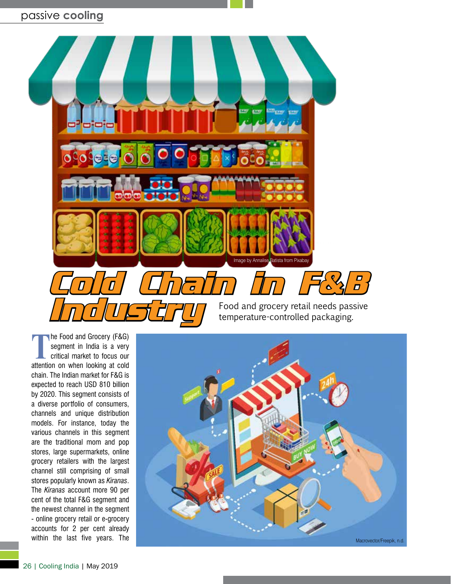# passive **cooling**



**The Food and Grocery (F&G)**<br>
segment in India is a very<br>
critical market to focus our<br>
attention on when looking at cold segment in India is a very attention on when looking at cold chain. The Indian market for F&G is expected to reach USD 810 billion by 2020. This segment consists of a diverse portfolio of consumers, channels and unique distribution models. For instance, today the various channels in this segment are the traditional mom and pop stores, large supermarkets, online grocery retailers with the largest channel still comprising of small stores popularly known as *Kiranas*. The *Kiranas* account more 90 per cent of the total F&G segment and the newest channel in the segment - online grocery retail or e-grocery accounts for 2 per cent already within the last five years. The

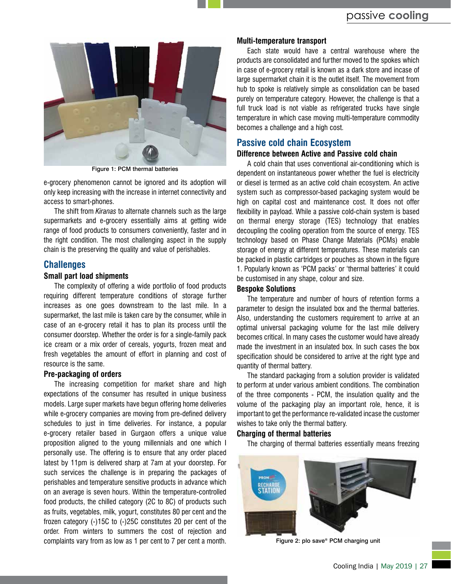

Figure 1: PCM thermal batteries

e-grocery phenomenon cannot be ignored and its adoption will only keep increasing with the increase in internet connectivity and access to smart-phones.

The shift from *Kiranas* to alternate channels such as the large supermarkets and e-grocery essentially aims at getting wide range of food products to consumers conveniently, faster and in the right condition. The most challenging aspect in the supply chain is the preserving the quality and value of perishables.

## **Challenges**

## **Small part load shipments**

The complexity of offering a wide portfolio of food products requiring different temperature conditions of storage further increases as one goes downstream to the last mile. In a supermarket, the last mile is taken care by the consumer, while in case of an e-grocery retail it has to plan its process until the consumer doorstep. Whether the order is for a single-family pack ice cream or a mix order of cereals, yogurts, frozen meat and fresh vegetables the amount of effort in planning and cost of resource is the same.

#### **Pre-packaging of orders**

The increasing competition for market share and high expectations of the consumer has resulted in unique business models. Large super markets have begun offering home deliveries while e-grocery companies are moving from pre-defined delivery schedules to just in time deliveries. For instance, a popular e-grocery retailer based in Gurgaon offers a unique value proposition aligned to the young millennials and one which I personally use. The offering is to ensure that any order placed latest by 11pm is delivered sharp at 7am at your doorstep. For such services the challenge is in preparing the packages of perishables and temperature sensitive products in advance which on an average is seven hours. Within the temperature-controlled food products, the chilled category (2C to 8C) of products such as fruits, vegetables, milk, yogurt, constitutes 80 per cent and the frozen category (-)15C to (-)25C constitutes 20 per cent of the order. From winters to summers the cost of rejection and complaints vary from as low as 1 per cent to 7 per cent a month.

#### **Multi-temperature transport**

Each state would have a central warehouse where the products are consolidated and further moved to the spokes which in case of e-grocery retail is known as a dark store and incase of large supermarket chain it is the outlet itself. The movement from hub to spoke is relatively simple as consolidation can be based purely on temperature category. However, the challenge is that a full truck load is not viable as refrigerated trucks have single temperature in which case moving multi-temperature commodity becomes a challenge and a high cost.

# **Passive cold chain Ecosystem**

# **Difference between Active and Passive cold chain**

A cold chain that uses conventional air-conditioning which is dependent on instantaneous power whether the fuel is electricity or diesel is termed as an active cold chain ecosystem. An active system such as compressor-based packaging system would be high on capital cost and maintenance cost. It does not offer flexibility in payload. While a passive cold-chain system is based on thermal energy storage (TES) technology that enables decoupling the cooling operation from the source of energy. TES technology based on Phase Change Materials (PCMs) enable storage of energy at different temperatures. These materials can be packed in plastic cartridges or pouches as shown in the figure 1. Popularly known as 'PCM packs' or 'thermal batteries' it could be customised in any shape, colour and size.

#### **Bespoke Solutions**

The temperature and number of hours of retention forms a parameter to design the insulated box and the thermal batteries. Also, understanding the customers requirement to arrive at an optimal universal packaging volume for the last mile delivery becomes critical. In many cases the customer would have already made the investment in an insulated box. In such cases the box specification should be considered to arrive at the right type and quantity of thermal battery.

The standard packaging from a solution provider is validated to perform at under various ambient conditions. The combination of the three components - PCM, the insulation quality and the volume of the packaging play an important role, hence, it is important to get the performance re-validated incase the customer wishes to take only the thermal battery.

#### **Charging of thermal batteries**

The charging of thermal batteries essentially means freezing



Figure 2: plo save® PCM charging unit